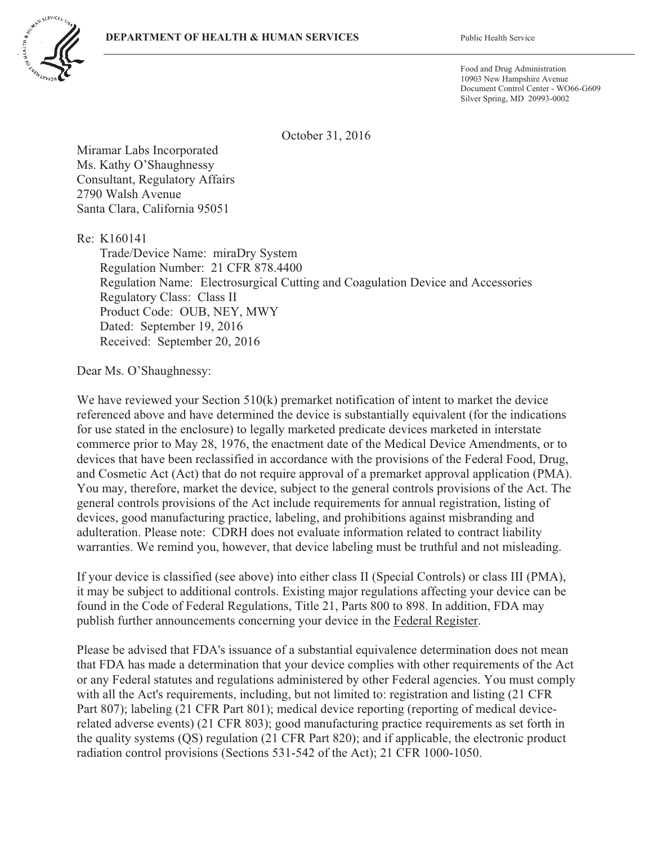

Food and Drug Administration 10903 New Hampshire Avenue Document Control Center - WO66-G609 Silver Spring, MD 20993-0002

October 31, 2016

Miramar Labs Incorporated Ms. Kathy O'Shaughnessy Consultant, Regulatory Affairs 2790 Walsh Avenue Santa Clara, California 95051

Re: K160141

Trade/Device Name: miraDry System Regulation Number: 21 CFR 878.4400 Regulation Name: Electrosurgical Cutting and Coagulation Device and Accessories Regulatory Class: Class II Product Code: OUB, NEY, MWY Dated: September 19, 2016 Received: September 20, 2016

Dear Ms. O'Shaughnessy:

We have reviewed your Section 510(k) premarket notification of intent to market the device referenced above and have determined the device is substantially equivalent (for the indications for use stated in the enclosure) to legally marketed predicate devices marketed in interstate commerce prior to May 28, 1976, the enactment date of the Medical Device Amendments, or to devices that have been reclassified in accordance with the provisions of the Federal Food, Drug, and Cosmetic Act (Act) that do not require approval of a premarket approval application (PMA). You may, therefore, market the device, subject to the general controls provisions of the Act. The general controls provisions of the Act include requirements for annual registration, listing of devices, good manufacturing practice, labeling, and prohibitions against misbranding and adulteration. Please note: CDRH does not evaluate information related to contract liability warranties. We remind you, however, that device labeling must be truthful and not misleading.

If your device is classified (see above) into either class II (Special Controls) or class III (PMA), it may be subject to additional controls. Existing major regulations affecting your device can be found in the Code of Federal Regulations, Title 21, Parts 800 to 898. In addition, FDA may publish further announcements concerning your device in the Federal Register.

Please be advised that FDA's issuance of a substantial equivalence determination does not mean that FDA has made a determination that your device complies with other requirements of the Act or any Federal statutes and regulations administered by other Federal agencies. You must comply with all the Act's requirements, including, but not limited to: registration and listing (21 CFR Part 807); labeling (21 CFR Part 801); medical device reporting (reporting of medical devicerelated adverse events) (21 CFR 803); good manufacturing practice requirements as set forth in the quality systems (QS) regulation (21 CFR Part 820); and if applicable, the electronic product radiation control provisions (Sections 531-542 of the Act); 21 CFR 1000-1050.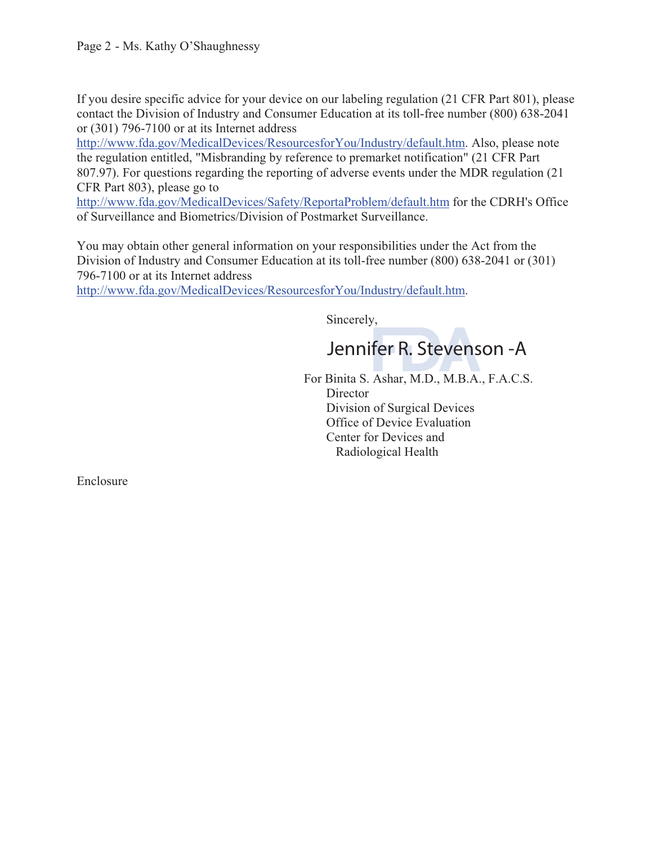If you desire specific advice for your device on our labeling regulation (21 CFR Part 801), please contact the Division of Industry and Consumer Education at its toll-free number (800) 638-2041 or (301) 796-7100 or at its Internet address

http://www.fda.gov/MedicalDevices/ResourcesforYou/Industry/default.htm. Also, please note the regulation entitled, "Misbranding by reference to premarket notification" (21 CFR Part 807.97). For questions regarding the reporting of adverse events under the MDR regulation (21 CFR Part 803), please go to

http://www.fda.gov/MedicalDevices/Safety/ReportaProblem/default.htm for the CDRH's Office of Surveillance and Biometrics/Division of Postmarket Surveillance.

You may obtain other general information on your responsibilities under the Act from the Division of Industry and Consumer Education at its toll-free number (800) 638-2041 or (301) 796-7100 or at its Internet address

http://www.fda.gov/MedicalDevices/ResourcesforYou/Industry/default.htm.

Sincerely,

Jennifer R. Stevenson - A Jennifer R. Stevenson

 For Binita S. Ashar, M.D., M.B.A., F.A.C.S. **Director** Division of Surgical Devices Office of Device Evaluation Center for Devices and Radiological Health

Enclosure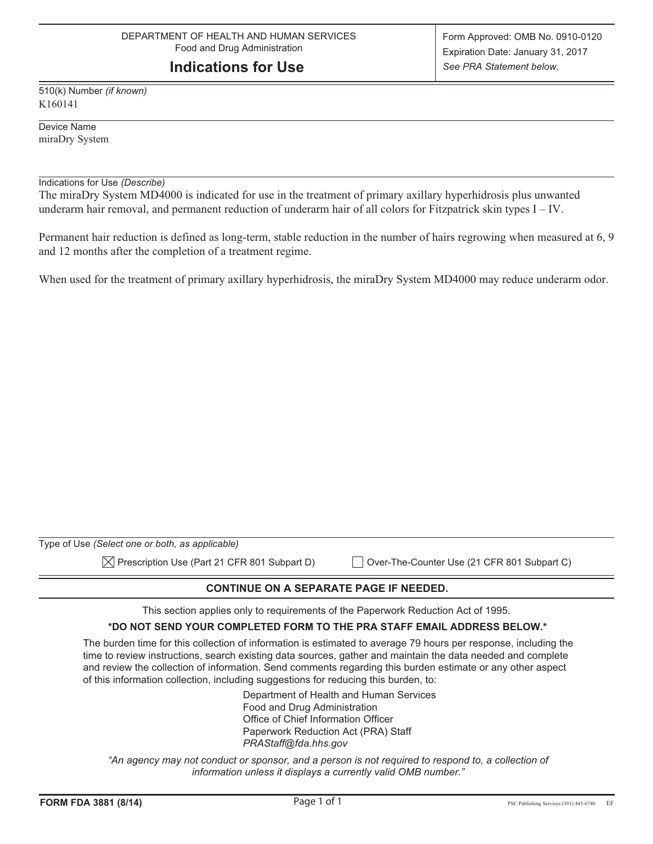## **Indications for Use**

510(k) Number *(if known)* K160141

Device Name miraDry System

Indications for Use *(Describe)*

The miraDry System MD4000 is indicated for use in the treatment of primary axillary hyperhidrosis plus unwanted underarm hair removal, and permanent reduction of underarm hair of all colors for Fitzpatrick skin types I – IV.

Permanent hair reduction is defined as long-term, stable reduction in the number of hairs regrowing when measured at 6, 9 and 12 months after the completion of a treatment regime.

When used for the treatment of primary axillary hyperhidrosis, the miraDry System MD4000 may reduce underarm odor.

| Type of Use (Select one or both, as applicable)          |                                             |
|----------------------------------------------------------|---------------------------------------------|
| $\boxtimes$ Prescription Use (Part 21 CFR 801 Subpart D) | Over-The-Counter Use (21 CFR 801 Subpart C) |

#### **CONTINUE ON A SEPARATE PAGE IF NEEDED.**

This section applies only to requirements of the Paperwork Reduction Act of 1995.

#### **\*DO NOT SEND YOUR COMPLETED FORM TO THE PRA STAFF EMAIL ADDRESS BELOW.\***

The burden time for this collection of information is estimated to average 79 hours per response, including the time to review instructions, search existing data sources, gather and maintain the data needed and complete and review the collection of information. Send comments regarding this burden estimate or any other aspect of this information collection, including suggestions for reducing this burden, to:

> Department of Health and Human Services Food and Drug Administration Office of Chief Information Officer Paperwork Reduction Act (PRA) Staff *PRAStaff@fda.hhs.gov*

*"An agency may not conduct or sponsor, and a person is not required to respond to, a collection of information unless it displays a currently valid OMB number."*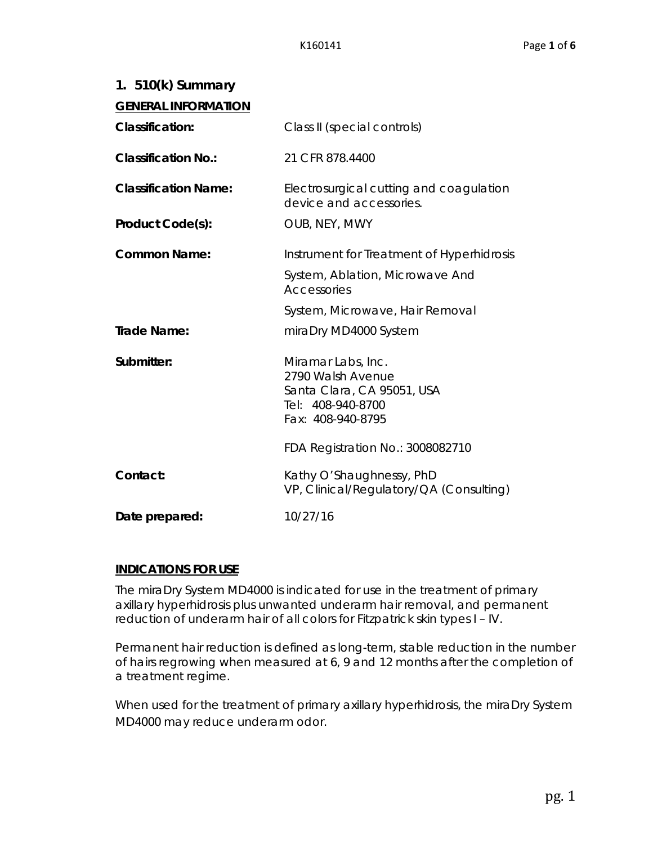| 1. $510(k)$ Summary         |                                                                                                                 |
|-----------------------------|-----------------------------------------------------------------------------------------------------------------|
| <b>GENERAL INFORMATION</b>  |                                                                                                                 |
| <b>Classification:</b>      | Class II (special controls)                                                                                     |
| <b>Classification No.:</b>  | 21 CFR 878.4400                                                                                                 |
| <b>Classification Name:</b> | Electrosurgical cutting and coagulation<br>device and accessories.                                              |
| Product Code(s):            | OUB, NEY, MWY                                                                                                   |
| <b>Common Name:</b>         | Instrument for Treatment of Hyperhidrosis                                                                       |
|                             | System, Ablation, Microwave And<br>Accessories                                                                  |
|                             | System, Microwave, Hair Removal                                                                                 |
| <b>Trade Name:</b>          | miraDry MD4000 System                                                                                           |
| Submitter:                  | Miramar Labs, Inc.<br>2790 Walsh Avenue<br>Santa Clara, CA 95051, USA<br>Tel: 408-940-8700<br>Fax: 408-940-8795 |
|                             | FDA Registration No.: 3008082710                                                                                |
| Contact:                    | Kathy O'Shaughnessy, PhD<br>VP, Clinical/Regulatory/QA (Consulting)                                             |
| Date prepared:              | 10/27/16                                                                                                        |

### **INDICATIONS FOR USE**

The miraDry System MD4000 is indicated for use in the treatment of primary axillary hyperhidrosis plus unwanted underarm hair removal, and permanent reduction of underarm hair of all colors for Fitzpatrick skin types I – IV.

Permanent hair reduction is defined as long-term, stable reduction in the number of hairs regrowing when measured at 6, 9 and 12 months after the completion of a treatment regime.

When used for the treatment of primary axillary hyperhidrosis, the miraDry System MD4000 may reduce underarm odor.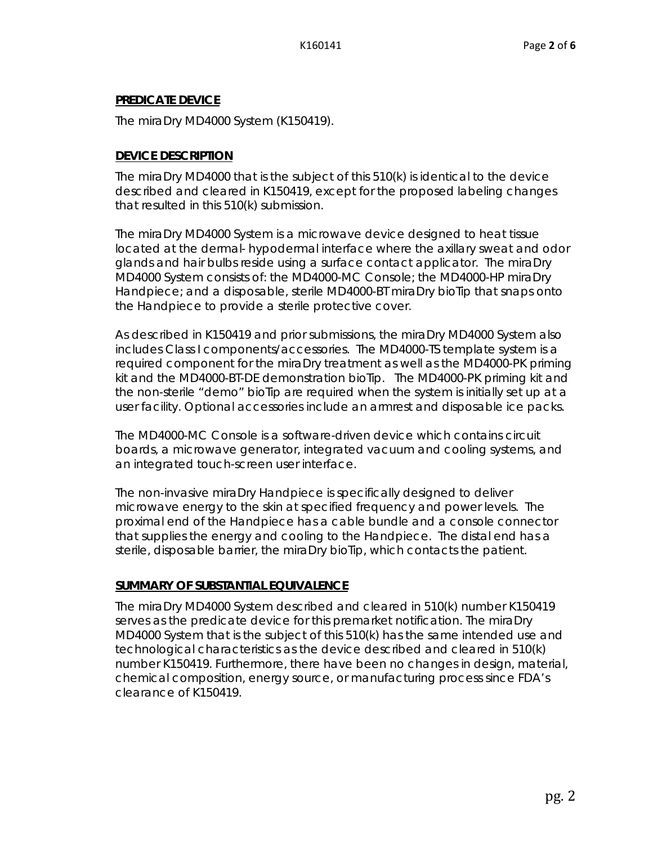#### **PREDICATE DEVICE**

The miraDry MD4000 System (K150419).

#### **DEVICE DESCRIPTION**

The miraDry MD4000 that is the subject of this 510(k) is identical to the device described and cleared in K150419, except for the proposed labeling changes that resulted in this 510(k) submission.

The miraDry MD4000 System is a microwave device designed to heat tissue located at the dermal- hypodermal interface where the axillary sweat and odor glands and hair bulbs reside using a surface contact applicator. The miraDry MD4000 System consists of: the MD4000-MC Console; the MD4000-HP miraDry Handpiece; and a disposable, sterile MD4000-BT miraDry bioTip that snaps onto the Handpiece to provide a sterile protective cover.

As described in K150419 and prior submissions, the miraDry MD4000 System also includes Class I components/accessories. The MD4000-TS template system is a required component for the miraDry treatment as well as the MD4000-PK priming kit and the MD4000-BT-DE demonstration bioTip. The MD4000-PK priming kit and the non-sterile "demo" bioTip are required when the system is initially set up at a user facility. Optional accessories include an armrest and disposable ice packs.

The MD4000-MC Console is a software-driven device which contains circuit boards, a microwave generator, integrated vacuum and cooling systems, and an integrated touch-screen user interface.

The non-invasive miraDry Handpiece is specifically designed to deliver microwave energy to the skin at specified frequency and power levels. The proximal end of the Handpiece has a cable bundle and a console connector that supplies the energy and cooling to the Handpiece. The distal end has a sterile, disposable barrier, the miraDry bioTip, which contacts the patient.

### **SUMMARY OF SUBSTANTIAL EQUIVALENCE**

The miraDry MD4000 System described and cleared in 510(k) number K150419 serves as the predicate device for this premarket notification. The miraDry MD4000 System that is the subject of this 510(k) has the same intended use and technological characteristics as the device described and cleared in 510(k) number K150419. Furthermore, there have been no changes in design, material, chemical composition, energy source, or manufacturing process since FDA's clearance of K150419.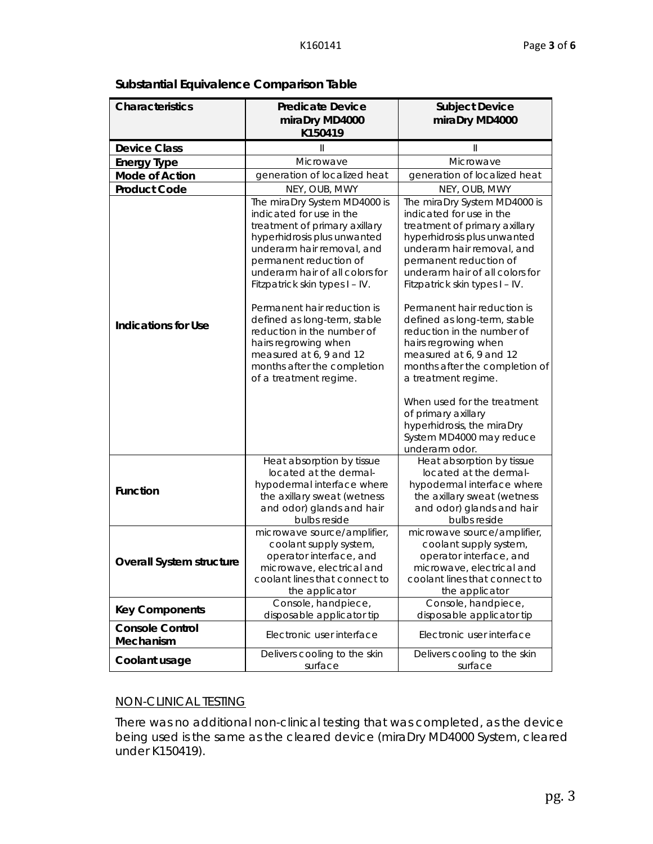## **Substantial Equivalence Comparison Table**

| <b>Characteristics</b>              | <b>Predicate Device</b>                                                                                                                                                                                                                                                                                                                                                                                                        | <b>Subject Device</b>                                                                                                                                                                                                                                                                                                                                                                                                                                          |  |
|-------------------------------------|--------------------------------------------------------------------------------------------------------------------------------------------------------------------------------------------------------------------------------------------------------------------------------------------------------------------------------------------------------------------------------------------------------------------------------|----------------------------------------------------------------------------------------------------------------------------------------------------------------------------------------------------------------------------------------------------------------------------------------------------------------------------------------------------------------------------------------------------------------------------------------------------------------|--|
|                                     | miraDry MD4000<br>K150419                                                                                                                                                                                                                                                                                                                                                                                                      | miraDry MD4000                                                                                                                                                                                                                                                                                                                                                                                                                                                 |  |
|                                     |                                                                                                                                                                                                                                                                                                                                                                                                                                |                                                                                                                                                                                                                                                                                                                                                                                                                                                                |  |
| <b>Device Class</b>                 | $\mathbf{  }$                                                                                                                                                                                                                                                                                                                                                                                                                  | $\mathbb{I}$                                                                                                                                                                                                                                                                                                                                                                                                                                                   |  |
| <b>Energy Type</b>                  | Microwave                                                                                                                                                                                                                                                                                                                                                                                                                      | Microwave                                                                                                                                                                                                                                                                                                                                                                                                                                                      |  |
| <b>Mode of Action</b>               | generation of localized heat                                                                                                                                                                                                                                                                                                                                                                                                   | generation of localized heat                                                                                                                                                                                                                                                                                                                                                                                                                                   |  |
| <b>Product Code</b>                 | NEY, OUB, MWY<br>The miraDry System MD4000 is                                                                                                                                                                                                                                                                                                                                                                                  | NEY, OUB, MWY                                                                                                                                                                                                                                                                                                                                                                                                                                                  |  |
| <b>Indications for Use</b>          | indicated for use in the<br>treatment of primary axillary<br>hyperhidrosis plus unwanted<br>underarm hair removal, and<br>permanent reduction of<br>underarm hair of all colors for<br>Fitzpatrick skin types I - IV.<br>Permanent hair reduction is<br>defined as long-term, stable<br>reduction in the number of<br>hairs regrowing when<br>measured at 6, 9 and 12<br>months after the completion<br>of a treatment regime. | The miraDry System MD4000 is<br>indicated for use in the<br>treatment of primary axillary<br>hyperhidrosis plus unwanted<br>underarm hair removal, and<br>permanent reduction of<br>underarm hair of all colors for<br>Fitzpatrick skin types I - IV.<br>Permanent hair reduction is<br>defined as long-term, stable<br>reduction in the number of<br>hairs regrowing when<br>measured at 6, 9 and 12<br>months after the completion of<br>a treatment regime. |  |
|                                     |                                                                                                                                                                                                                                                                                                                                                                                                                                | When used for the treatment<br>of primary axillary<br>hyperhidrosis, the miraDry<br>System MD4000 may reduce<br>underarm odor.                                                                                                                                                                                                                                                                                                                                 |  |
| <b>Function</b>                     | Heat absorption by tissue<br>located at the dermal-<br>hypodermal interface where<br>the axillary sweat (wetness<br>and odor) glands and hair<br>bulbs reside                                                                                                                                                                                                                                                                  | Heat absorption by tissue<br>located at the dermal-<br>hypodermal interface where<br>the axillary sweat (wetness<br>and odor) glands and hair<br>bulbs reside                                                                                                                                                                                                                                                                                                  |  |
| <b>Overall System structure</b>     | microwave source/amplifier,<br>coolant supply system,<br>operator interface, and<br>microwave, electrical and<br>coolant lines that connect to<br>the applicator                                                                                                                                                                                                                                                               | microwave source/amplifier,<br>coolant supply system,<br>operator interface, and<br>microwave, electrical and<br>coolant lines that connect to<br>the applicator                                                                                                                                                                                                                                                                                               |  |
| <b>Key Components</b>               | Console, handpiece,<br>disposable applicator tip                                                                                                                                                                                                                                                                                                                                                                               | Console, handpiece,<br>disposable applicator tip                                                                                                                                                                                                                                                                                                                                                                                                               |  |
| <b>Console Control</b><br>Mechanism | Electronic user interface                                                                                                                                                                                                                                                                                                                                                                                                      | Electronic user interface                                                                                                                                                                                                                                                                                                                                                                                                                                      |  |
| Coolant usage                       | Delivers cooling to the skin<br>surface                                                                                                                                                                                                                                                                                                                                                                                        | Delivers cooling to the skin<br>surface                                                                                                                                                                                                                                                                                                                                                                                                                        |  |

### NON-CLINICAL TESTING

There was no additional non-clinical testing that was completed, as the device being used is the same as the cleared device (miraDry MD4000 System, cleared under K150419).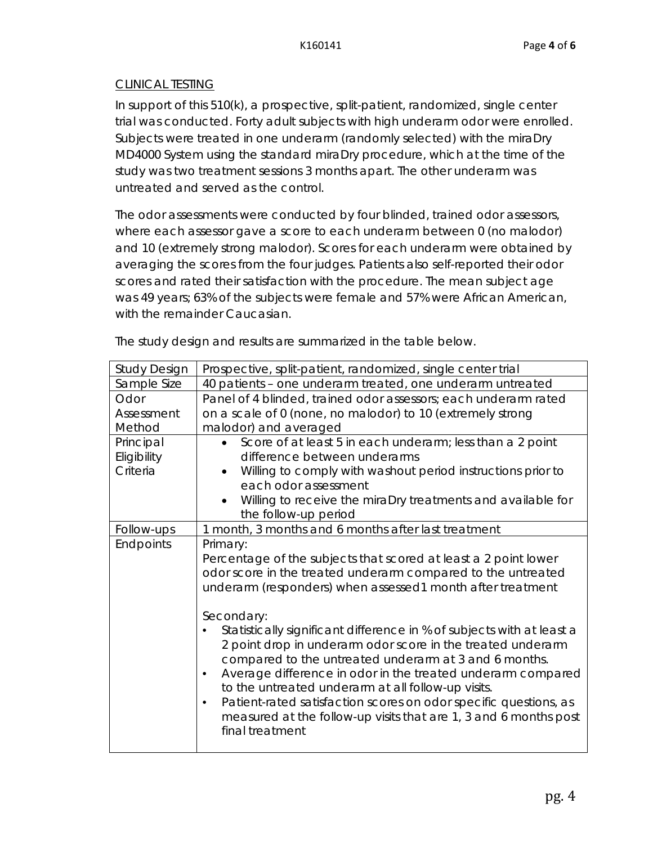### CLINICAL TESTING

In support of this 510(k), a prospective, split-patient, randomized, single center trial was conducted. Forty adult subjects with high underarm odor were enrolled. Subjects were treated in one underarm (randomly selected) with the miraDry MD4000 System using the standard miraDry procedure, which at the time of the study was two treatment sessions 3 months apart. The other underarm was untreated and served as the control.

The odor assessments were conducted by four blinded, trained odor assessors, where each assessor gave a score to each underarm between 0 (no malodor) and 10 (extremely strong malodor). Scores for each underarm were obtained by averaging the scores from the four judges. Patients also self-reported their odor scores and rated their satisfaction with the procedure. The mean subject age was 49 years; 63% of the subjects were female and 57% were African American, with the remainder Caucasian.

| <b>Study Design</b> | Prospective, split-patient, randomized, single center trial                                                                                                                                                                                                                                                                                                                                                                                                                                              |
|---------------------|----------------------------------------------------------------------------------------------------------------------------------------------------------------------------------------------------------------------------------------------------------------------------------------------------------------------------------------------------------------------------------------------------------------------------------------------------------------------------------------------------------|
| Sample Size         | 40 patients - one underarm treated, one underarm untreated                                                                                                                                                                                                                                                                                                                                                                                                                                               |
| Odor                | Panel of 4 blinded, trained odor assessors; each underarm rated                                                                                                                                                                                                                                                                                                                                                                                                                                          |
| Assessment          | on a scale of 0 (none, no malodor) to 10 (extremely strong                                                                                                                                                                                                                                                                                                                                                                                                                                               |
| Method              | malodor) and averaged                                                                                                                                                                                                                                                                                                                                                                                                                                                                                    |
| Principal           | Score of at least 5 in each underarm; less than a 2 point                                                                                                                                                                                                                                                                                                                                                                                                                                                |
| Eligibility         | difference between underarms                                                                                                                                                                                                                                                                                                                                                                                                                                                                             |
| Criteria            | Willing to comply with washout period instructions prior to<br>$\bullet$                                                                                                                                                                                                                                                                                                                                                                                                                                 |
|                     | each odor assessment                                                                                                                                                                                                                                                                                                                                                                                                                                                                                     |
|                     | Willing to receive the miraDry treatments and available for                                                                                                                                                                                                                                                                                                                                                                                                                                              |
|                     | the follow-up period                                                                                                                                                                                                                                                                                                                                                                                                                                                                                     |
| Follow-ups          | 1 month, 3 months and 6 months after last treatment                                                                                                                                                                                                                                                                                                                                                                                                                                                      |
| Endpoints           | Primary:<br>Percentage of the subjects that scored at least a 2 point lower<br>odor score in the treated underarm compared to the untreated<br>underarm (responders) when assessed1 month after treatment                                                                                                                                                                                                                                                                                                |
|                     | Secondary:<br>Statistically significant difference in % of subjects with at least a<br>2 point drop in underarm odor score in the treated underarm<br>compared to the untreated underarm at 3 and 6 months.<br>Average difference in odor in the treated underarm compared<br>to the untreated underarm at all follow-up visits.<br>Patient-rated satisfaction scores on odor specific questions, as<br>$\bullet$<br>measured at the follow-up visits that are 1, 3 and 6 months post<br>final treatment |

The study design and results are summarized in the table below.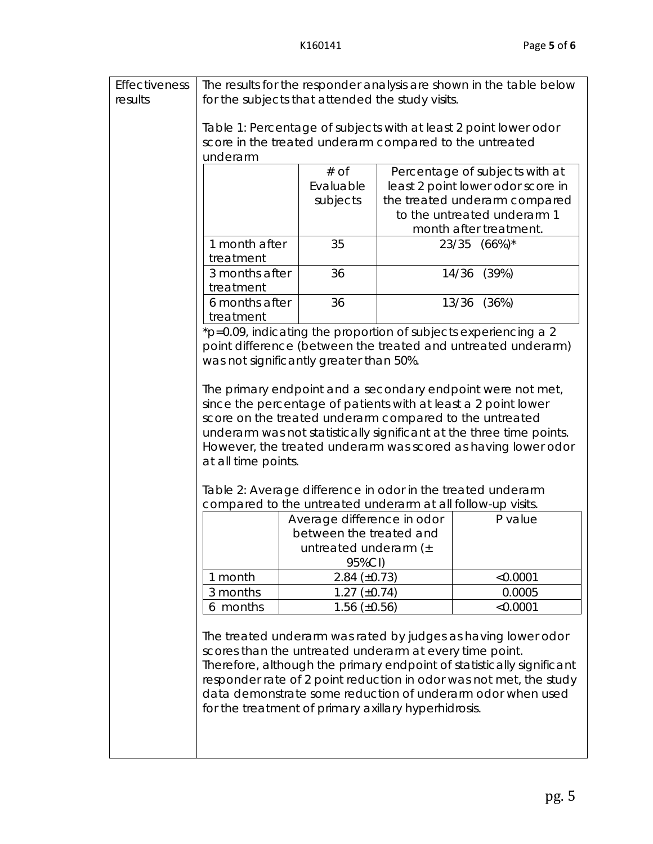| Effectiveness | The results for the responder analysis are shown in the table below                                                                   |                                                             |  |                                                                                                                               |  |
|---------------|---------------------------------------------------------------------------------------------------------------------------------------|-------------------------------------------------------------|--|-------------------------------------------------------------------------------------------------------------------------------|--|
| results       | for the subjects that attended the study visits.                                                                                      |                                                             |  |                                                                                                                               |  |
|               |                                                                                                                                       |                                                             |  |                                                                                                                               |  |
|               |                                                                                                                                       |                                                             |  | Table 1: Percentage of subjects with at least 2 point lower odor                                                              |  |
|               |                                                                                                                                       | score in the treated underarm compared to the untreated     |  |                                                                                                                               |  |
|               | underarm                                                                                                                              |                                                             |  |                                                                                                                               |  |
|               |                                                                                                                                       | $#$ of                                                      |  | Percentage of subjects with at                                                                                                |  |
|               |                                                                                                                                       | Evaluable                                                   |  | least 2 point lower odor score in                                                                                             |  |
|               |                                                                                                                                       | subjects                                                    |  | the treated underarm compared                                                                                                 |  |
|               |                                                                                                                                       |                                                             |  | to the untreated underarm 1                                                                                                   |  |
|               |                                                                                                                                       |                                                             |  | month after treatment.                                                                                                        |  |
|               | 1 month after                                                                                                                         | 35                                                          |  | 23/35 (66%)*                                                                                                                  |  |
|               | treatment                                                                                                                             |                                                             |  |                                                                                                                               |  |
|               | 3 months after                                                                                                                        | 36                                                          |  | (39%)<br>14/36                                                                                                                |  |
|               | treatment                                                                                                                             |                                                             |  |                                                                                                                               |  |
|               | 6 months after                                                                                                                        | 36                                                          |  | 13/36<br>(36%)                                                                                                                |  |
|               | treatment                                                                                                                             |                                                             |  |                                                                                                                               |  |
|               |                                                                                                                                       |                                                             |  | *p=0.09, indicating the proportion of subjects experiencing a 2                                                               |  |
|               |                                                                                                                                       |                                                             |  | point difference (between the treated and untreated underarm)                                                                 |  |
|               |                                                                                                                                       | was not significantly greater than 50%.                     |  |                                                                                                                               |  |
|               |                                                                                                                                       |                                                             |  |                                                                                                                               |  |
|               |                                                                                                                                       |                                                             |  | The primary endpoint and a secondary endpoint were not met,<br>since the percentage of patients with at least a 2 point lower |  |
|               |                                                                                                                                       | score on the treated underarm compared to the untreated     |  |                                                                                                                               |  |
|               |                                                                                                                                       |                                                             |  |                                                                                                                               |  |
|               | underarm was not statistically significant at the three time points.<br>However, the treated underarm was scored as having lower odor |                                                             |  |                                                                                                                               |  |
|               | at all time points.                                                                                                                   |                                                             |  |                                                                                                                               |  |
|               |                                                                                                                                       |                                                             |  |                                                                                                                               |  |
|               | Table 2: Average difference in odor in the treated underarm                                                                           |                                                             |  |                                                                                                                               |  |
|               |                                                                                                                                       | compared to the untreated underarm at all follow-up visits. |  |                                                                                                                               |  |
|               |                                                                                                                                       | Average difference in odor                                  |  | P value                                                                                                                       |  |
|               |                                                                                                                                       | between the treated and                                     |  |                                                                                                                               |  |
|               |                                                                                                                                       | untreated underarm $(+$                                     |  |                                                                                                                               |  |
|               |                                                                                                                                       | 95%CI)                                                      |  |                                                                                                                               |  |
|               | 1 month                                                                                                                               | $2.84 \ (\pm 0.73)$                                         |  | < 0.0001                                                                                                                      |  |
|               | 3 months                                                                                                                              | $1.27 \ (\pm 0.74)$                                         |  | 0.0005                                                                                                                        |  |
|               | 6 months                                                                                                                              | $1.56 \ (\pm 0.56)$                                         |  | < 0.0001                                                                                                                      |  |
|               |                                                                                                                                       |                                                             |  |                                                                                                                               |  |
|               | The treated underarm was rated by judges as having lower odor                                                                         |                                                             |  |                                                                                                                               |  |
|               | scores than the untreated underarm at every time point.                                                                               |                                                             |  |                                                                                                                               |  |
|               | Therefore, although the primary endpoint of statistically significant                                                                 |                                                             |  |                                                                                                                               |  |
|               | responder rate of 2 point reduction in odor was not met, the study                                                                    |                                                             |  |                                                                                                                               |  |
|               | data demonstrate some reduction of underarm odor when used                                                                            |                                                             |  |                                                                                                                               |  |
|               | for the treatment of primary axillary hyperhidrosis.                                                                                  |                                                             |  |                                                                                                                               |  |
|               |                                                                                                                                       |                                                             |  |                                                                                                                               |  |
|               |                                                                                                                                       |                                                             |  |                                                                                                                               |  |
|               |                                                                                                                                       |                                                             |  |                                                                                                                               |  |
|               |                                                                                                                                       |                                                             |  |                                                                                                                               |  |